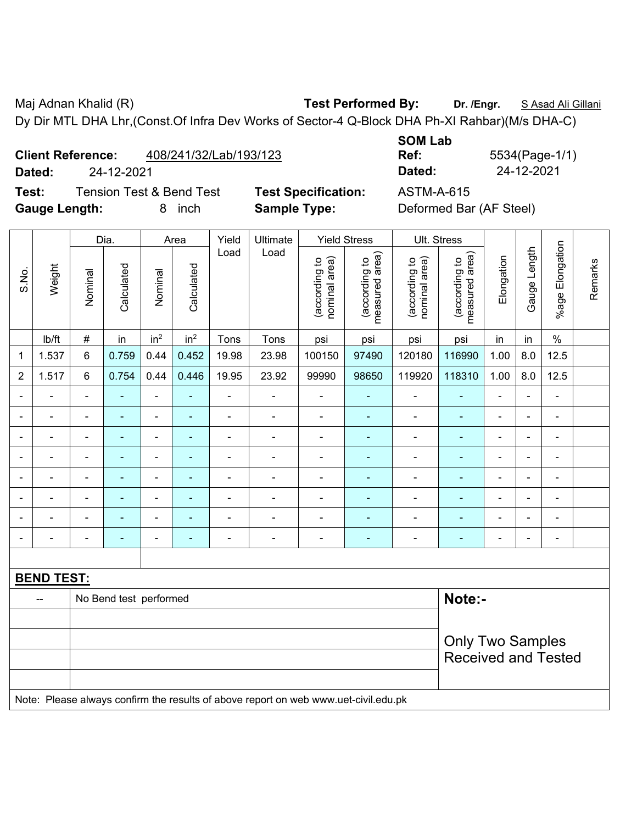Maj Adnan Khalid (R) **Test Performed By: Dr. /Engr.** S Asad Ali Gillani Dy Dir MTL DHA Lhr,(Const.Of Infra Dev Works of Sector-4 Q-Block DHA Ph-XI Rahbar)(M/s DHA-C)

**Client Reference:** 408/241/32/Lab/193/123

**Test:** Tension Test & Bend Test **Test Specification:** ASTM-A-615 Gauge Length: **8** inch **Sample Type:** Deformed Bar (AF Steel)

**SOM Lab Ref:** 5534(Page-1/1) **Dated:** 24-12-2021 **Dated:** 24-12-2021

|                          |                   |                | Dia.                   |                          | Area            | Yield          | Ultimate                                                                            |                                | <b>Yield Stress</b>             |                                | Ult. Stress                     |                |                |                 |         |
|--------------------------|-------------------|----------------|------------------------|--------------------------|-----------------|----------------|-------------------------------------------------------------------------------------|--------------------------------|---------------------------------|--------------------------------|---------------------------------|----------------|----------------|-----------------|---------|
| S.No.                    | Weight            | Nominal        | Calculated             | Nominal                  | Calculated      | Load           | Load                                                                                | (according to<br>nominal area) | (according to<br>measured area) | (according to<br>nominal area) | measured area)<br>(according to | Elongation     | Gauge Length   | %age Elongation | Remarks |
|                          | lb/ft             | $\#$           | in                     | in <sup>2</sup>          | in <sup>2</sup> | Tons           | Tons                                                                                | psi                            | psi                             | psi                            | psi                             | in             | in             | $\%$            |         |
| 1                        | 1.537             | 6              | 0.759                  | 0.44                     | 0.452           | 19.98          | 23.98                                                                               | 100150                         | 97490                           | 120180                         | 116990                          | 1.00           | 8.0            | 12.5            |         |
| $\overline{2}$           | 1.517             | 6              | 0.754                  | 0.44                     | 0.446           | 19.95          | 23.92                                                                               | 99990                          | 98650                           | 119920                         | 118310                          | 1.00           | 8.0            | 12.5            |         |
|                          |                   | $\blacksquare$ | $\frac{1}{2}$          | ÷,                       | ÷               | $\blacksquare$ | ÷,                                                                                  | ÷,                             | ä,                              | $\blacksquare$                 | Ξ                               | ä,             | ä,             | ÷,              |         |
| $\overline{\phantom{0}}$ | $\blacksquare$    | $\blacksquare$ | ٠                      | $\overline{\phantom{0}}$ | ٠               | $\blacksquare$ | $\blacksquare$                                                                      | $\blacksquare$                 | $\frac{1}{2}$                   | $\blacksquare$                 | $\blacksquare$                  | $\blacksquare$ | $\blacksquare$ | $\blacksquare$  |         |
|                          | $\blacksquare$    | $\blacksquare$ | ٠                      | $\blacksquare$           | ٠               | ä,             | ÷                                                                                   | ÷                              | $\blacksquare$                  | $\blacksquare$                 | $\blacksquare$                  | $\blacksquare$ | $\blacksquare$ | $\blacksquare$  |         |
| ÷                        | ä,                | ä,             | $\blacksquare$         | ÷,                       | $\blacksquare$  | ä,             | ÷                                                                                   | ÷                              | $\blacksquare$                  | $\blacksquare$                 | $\blacksquare$                  | $\blacksquare$ | $\blacksquare$ | ä,              |         |
| $\blacksquare$           | ä,                | $\blacksquare$ | $\blacksquare$         | $\blacksquare$           | $\blacksquare$  | $\blacksquare$ | ä,                                                                                  | ä,                             | $\frac{1}{2}$                   | $\blacksquare$                 | $\blacksquare$                  | $\blacksquare$ | ÷,             | $\blacksquare$  |         |
|                          | $\blacksquare$    | $\blacksquare$ | $\blacksquare$         | $\blacksquare$           |                 | $\blacksquare$ | ä,                                                                                  | ä,                             | L,                              | $\blacksquare$                 | $\blacksquare$                  | $\blacksquare$ | ÷              | $\blacksquare$  |         |
|                          |                   |                | ۰                      | $\blacksquare$           |                 |                | L.                                                                                  | ÷,                             | ä,                              | $\blacksquare$                 |                                 |                |                | $\blacksquare$  |         |
|                          |                   |                |                        |                          |                 | $\blacksquare$ | $\blacksquare$                                                                      | $\blacksquare$                 | ÷,                              |                                | $\blacksquare$                  | $\blacksquare$ |                | $\blacksquare$  |         |
|                          |                   |                |                        |                          |                 |                |                                                                                     |                                |                                 |                                |                                 |                |                |                 |         |
|                          | <b>BEND TEST:</b> |                |                        |                          |                 |                |                                                                                     |                                |                                 |                                |                                 |                |                |                 |         |
|                          | $-$               |                | No Bend test performed |                          |                 |                |                                                                                     |                                |                                 |                                | Note:-                          |                |                |                 |         |
|                          |                   |                |                        |                          |                 |                |                                                                                     |                                |                                 |                                |                                 |                |                |                 |         |
|                          |                   |                |                        |                          |                 |                |                                                                                     |                                |                                 |                                | <b>Only Two Samples</b>         |                |                |                 |         |
|                          |                   |                |                        |                          |                 |                |                                                                                     |                                |                                 |                                | <b>Received and Tested</b>      |                |                |                 |         |
|                          |                   |                |                        |                          |                 |                |                                                                                     |                                |                                 |                                |                                 |                |                |                 |         |
|                          |                   |                |                        |                          |                 |                | Note: Please always confirm the results of above report on web www.uet-civil.edu.pk |                                |                                 |                                |                                 |                |                |                 |         |
|                          |                   |                |                        |                          |                 |                |                                                                                     |                                |                                 |                                |                                 |                |                |                 |         |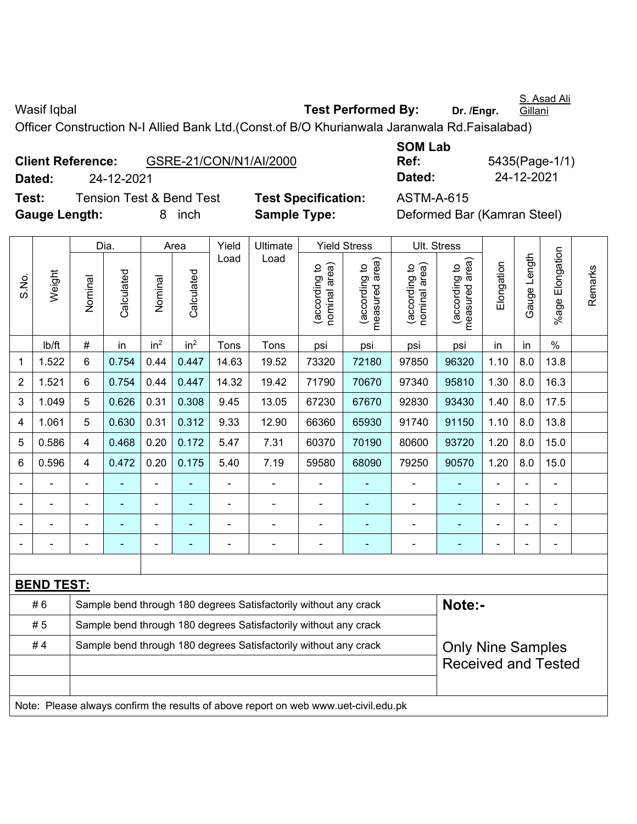Wasif Iqbal **Wasif Iqbal Test Performed By:** Dr. /Engr.

**Gillani** Officer Construction N-I Allied Bank Ltd.(Const.of B/O Khurianwala Jaranwala Rd.Faisalabad)

|               | <b>Client Reference:</b>            |        | GSRE-21/CON/N1/AI/2000 |
|---------------|-------------------------------------|--------|------------------------|
| Dated:        | 24-12-2021                          |        |                        |
| Test:         | <b>Tension Test &amp; Bend Test</b> |        | <b>Test Specit</b>     |
| Gauge Length: |                                     | 8 inch | Sample Ty              |

**SOM Lab Ref:** 5435(Page-1/1) **Dated:** 24-12-2021 **Dated:** 24-12-2021

S. Asad Ali

fication: **ASTM-A-615 pe: Deformed Bar (Kamran Steel)** 

|                |                   |                                                                  | Dia.           |                 | Area            | Yield | Ultimate                                                                            |                                | <b>Yield Stress</b>             |                                       | Ult. Stress                     |            |                |                 |         |  |  |  |
|----------------|-------------------|------------------------------------------------------------------|----------------|-----------------|-----------------|-------|-------------------------------------------------------------------------------------|--------------------------------|---------------------------------|---------------------------------------|---------------------------------|------------|----------------|-----------------|---------|--|--|--|
| S.No.          | Weight            | Nominal                                                          | Calculated     | Nominal         | Calculated      | Load  | Load                                                                                | (according to<br>nominal area) | (according to<br>measured area) | (according to<br>nominal area)        | (according to<br>measured area) | Elongation | Gauge Length   | %age Elongation | Remarks |  |  |  |
|                | Ib/ft             | $\#$                                                             | in             | in <sup>2</sup> | in <sup>2</sup> | Tons  | Tons                                                                                | psi                            | psi                             | psi                                   | psi                             | in         | in             | $\%$            |         |  |  |  |
| 1              | 1.522             | 6                                                                | 0.754          | 0.44            | 0.447           | 14.63 | 19.52                                                                               | 73320                          | 72180                           | 97850                                 | 96320                           | 1.10       | 8.0            | 13.8            |         |  |  |  |
| $\overline{2}$ | 1.521             | 6                                                                | 0.754          | 0.44            | 0.447           | 14.32 | 19.42                                                                               | 71790                          | 70670                           | 97340                                 | 95810                           | 1.30       | 8.0            | 16.3            |         |  |  |  |
| 3              | 1.049             | 5                                                                | 0.626          | 0.31            | 0.308           | 9.45  | 13.05                                                                               | 67230                          | 67670                           | 92830                                 | 93430                           | 1.40       | 8.0            | 17.5            |         |  |  |  |
| 4              | 1.061             | 5                                                                | 0.630          | 0.31            | 0.312           | 9.33  | 12.90                                                                               | 66360                          | 65930                           | 91740                                 | 91150                           | 1.10       | 8.0            | 13.8            |         |  |  |  |
| 5              | 0.586             | $\overline{4}$                                                   | 0.468          | 0.20            | 0.172           | 5.47  | 7.31                                                                                | 60370                          | 70190                           | 80600                                 | 93720                           | 1.20       | 8.0            | 15.0            |         |  |  |  |
| 6              | 0.596             | 4                                                                | 0.472          | 0.20            | 0.175           | 5.40  | 7.19                                                                                | 59580                          | 68090                           | 90570<br>79250<br>1.20<br>8.0<br>15.0 |                                 |            |                |                 |         |  |  |  |
|                | ÷                 |                                                                  |                | ÷,              |                 | ÷,    | ÷,                                                                                  |                                |                                 | $\blacksquare$                        |                                 |            | ÷,             | $\blacksquare$  |         |  |  |  |
|                | ÷                 |                                                                  | $\blacksquare$ | ÷,              | ٠               | ä,    | ÷,                                                                                  | $\blacksquare$                 |                                 | $\blacksquare$                        | ÷,                              |            | $\blacksquare$ | $\blacksquare$  |         |  |  |  |
|                |                   |                                                                  |                | L               |                 |       | $\blacksquare$                                                                      |                                |                                 |                                       |                                 |            |                |                 |         |  |  |  |
|                |                   |                                                                  |                |                 |                 |       |                                                                                     |                                |                                 |                                       |                                 |            |                |                 |         |  |  |  |
|                |                   |                                                                  |                |                 |                 |       |                                                                                     |                                |                                 |                                       |                                 |            |                |                 |         |  |  |  |
|                | <b>BEND TEST:</b> |                                                                  |                |                 |                 |       |                                                                                     |                                |                                 |                                       |                                 |            |                |                 |         |  |  |  |
|                | #6                |                                                                  |                |                 |                 |       | Sample bend through 180 degrees Satisfactorily without any crack                    |                                |                                 |                                       | Note:-                          |            |                |                 |         |  |  |  |
|                | #5                | Sample bend through 180 degrees Satisfactorily without any crack |                |                 |                 |       |                                                                                     |                                |                                 |                                       |                                 |            |                |                 |         |  |  |  |
|                | #4                |                                                                  |                |                 |                 |       | Sample bend through 180 degrees Satisfactorily without any crack                    |                                |                                 |                                       | <b>Only Nine Samples</b>        |            |                |                 |         |  |  |  |
|                |                   |                                                                  |                |                 |                 |       |                                                                                     |                                |                                 |                                       | <b>Received and Tested</b>      |            |                |                 |         |  |  |  |
|                |                   |                                                                  |                |                 |                 |       |                                                                                     |                                |                                 |                                       |                                 |            |                |                 |         |  |  |  |
|                |                   |                                                                  |                |                 |                 |       | Note: Please always confirm the results of above report on web www.uet-civil.edu.pk |                                |                                 |                                       |                                 |            |                |                 |         |  |  |  |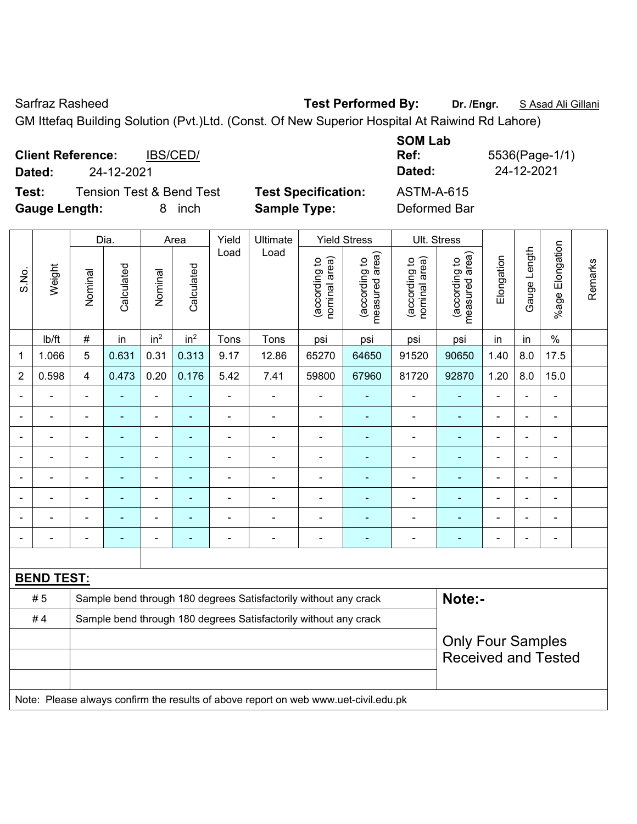Sarfraz Rasheed **Test Performed By:** Dr. /Engr. **SAsad Ali Gillani** Sarfraz Rasheed

GM Ittefaq Building Solution (Pvt.)Ltd. (Const. Of New Superior Hospital At Raiwind Rd Lahore)

**Client Reference:** IBS/CED/ **Dated:** 24-12-2021 **Dated:** 24-12-2021 **Test:** Tension Test & Bend Test **Test Specification:** ASTM-A-615

**Gauge Length:** 8 inch **Sample Type:** Deformed Bar

**SOM Lab Ref:** 5536(Page-1/1)

|       |                   |                                                                                                                            | Dia.                     |                          | Area                     | Yield          | Ultimate                                                         |                                | <b>Yield Stress</b>                | Ult. Stress                    |                                 |                |                          |                          |         |
|-------|-------------------|----------------------------------------------------------------------------------------------------------------------------|--------------------------|--------------------------|--------------------------|----------------|------------------------------------------------------------------|--------------------------------|------------------------------------|--------------------------------|---------------------------------|----------------|--------------------------|--------------------------|---------|
| S.No. | Weight            | Nominal                                                                                                                    | Calculated               | Nominal                  | Calculated               | Load           | Load                                                             | nominal area)<br>(according to | area)<br>(according to<br>measured | nominal area)<br>(according to | measured area)<br>(according to | Elongation     | Length<br>Gauge I        | Elongation<br>$%$ age    | Remarks |
|       | lb/ft             | $\#$                                                                                                                       | in                       | in <sup>2</sup>          | in <sup>2</sup>          | Tons           | Tons                                                             | psi                            | psi                                | psi                            | psi                             | in             | in                       | $\%$                     |         |
| 1     | 1.066             | 5                                                                                                                          | 0.631                    | 0.31                     | 0.313                    | 9.17           | 12.86                                                            | 65270                          | 64650                              | 91520                          | 90650                           | 1.40           | 8.0                      | 17.5                     |         |
| 2     | 0.598             | $\overline{\mathbf{4}}$                                                                                                    | 0.473                    | 0.20                     | 0.176                    | 5.42           | 7.41                                                             | 59800                          | 67960                              | 81720                          | 92870                           | 1.20           | 8.0                      | 15.0                     |         |
|       |                   |                                                                                                                            |                          |                          |                          |                |                                                                  |                                |                                    |                                |                                 |                |                          | ä,                       |         |
|       |                   | $\blacksquare$                                                                                                             | ۰                        | $\blacksquare$           |                          |                |                                                                  |                                |                                    | ۰                              | $\blacksquare$                  |                | ٠                        | ä,                       |         |
|       |                   |                                                                                                                            | ۰                        |                          |                          |                |                                                                  |                                |                                    | -                              |                                 |                |                          | $\blacksquare$           |         |
|       |                   | $\blacksquare$                                                                                                             | ۰                        | $\overline{\phantom{0}}$ | $\overline{\phantom{0}}$ |                | $\blacksquare$                                                   | $\overline{\phantom{0}}$       | $\overline{\phantom{a}}$           | $\overline{a}$                 | $\qquad \qquad \blacksquare$    | $\blacksquare$ | $\overline{\phantom{0}}$ | $\overline{a}$           |         |
|       |                   |                                                                                                                            | $\overline{\phantom{0}}$ | $\blacksquare$           |                          |                |                                                                  |                                |                                    |                                | $\blacksquare$                  |                |                          | $\blacksquare$           |         |
|       |                   | $\blacksquare$                                                                                                             | ÷                        | $\blacksquare$           |                          | $\blacksquare$ | $\blacksquare$                                                   |                                |                                    | $\blacksquare$                 | $\blacksquare$                  | $\blacksquare$ | ÷                        | $\blacksquare$           |         |
|       |                   |                                                                                                                            | ۰                        | $\blacksquare$           |                          |                |                                                                  |                                |                                    |                                | $\blacksquare$                  |                |                          | $\blacksquare$           |         |
|       |                   |                                                                                                                            | ۰                        | $\blacksquare$           | $\overline{\phantom{0}}$ |                | $\blacksquare$                                                   | $\blacksquare$                 | $\blacksquare$                     | ۰                              | $\qquad \qquad \blacksquare$    | $\blacksquare$ | ٠                        | $\overline{\phantom{a}}$ |         |
|       |                   |                                                                                                                            |                          |                          |                          |                |                                                                  |                                |                                    |                                |                                 |                |                          |                          |         |
|       | <b>BEND TEST:</b> |                                                                                                                            |                          |                          |                          |                |                                                                  |                                |                                    |                                |                                 |                |                          |                          |         |
|       | #5                |                                                                                                                            |                          |                          |                          |                | Sample bend through 180 degrees Satisfactorily without any crack |                                |                                    |                                | Note:-                          |                |                          |                          |         |
|       | #4                |                                                                                                                            |                          |                          |                          |                |                                                                  |                                |                                    |                                |                                 |                |                          |                          |         |
|       |                   | Sample bend through 180 degrees Satisfactorily without any crack<br><b>Only Four Samples</b><br><b>Received and Tested</b> |                          |                          |                          |                |                                                                  |                                |                                    |                                |                                 |                |                          |                          |         |

Note: Please always confirm the results of above report on web www.uet-civil.edu.pk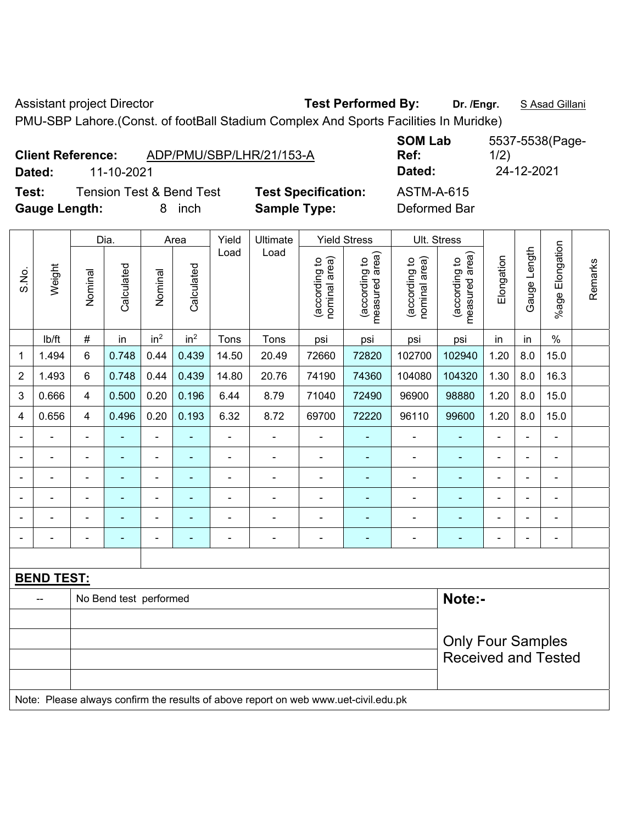Assistant project Director **Test Performed By:** Dr. /Engr. **SAsad Gillani** 

PMU-SBP Lahore.(Const. of footBall Stadium Complex And Sports Facilities In Muridke)

|       | Dated:               | <b>Client Reference:</b><br>11-10-2021 | ADP/PMU/SBP/LHR/21/153-A                                |               |                     |                            |                                        | <b>SOM Lab</b><br>Ref:<br>Dated:  |                 | 1/2) | 24-12-2021 | 5537-5538(Page- |  |
|-------|----------------------|----------------------------------------|---------------------------------------------------------|---------------|---------------------|----------------------------|----------------------------------------|-----------------------------------|-----------------|------|------------|-----------------|--|
| Test: | <b>Gauge Length:</b> |                                        | <b>Tension Test &amp; Bend Test</b><br><i>inch</i><br>8 |               | <b>Sample Type:</b> | <b>Test Specification:</b> |                                        | <b>ASTM-A-615</b><br>Deformed Bar |                 |      |            |                 |  |
|       |                      | Dia.                                   | Area                                                    | Yield<br>Load | Ultimate<br>Load    |                            | <b>Yield Stress</b><br>$\widehat{\pi}$ | Ult. Stress                       | $\widehat{\pi}$ |      |            | tion            |  |

|                |                   |                          | Dia.<br>Area<br>Yield<br>Ultimate<br>Yield Stress<br>UII. Stress |                 |                          |                |                                                                                     |                                |                                 |                                |                                 |                |                          |                              |         |
|----------------|-------------------|--------------------------|------------------------------------------------------------------|-----------------|--------------------------|----------------|-------------------------------------------------------------------------------------|--------------------------------|---------------------------------|--------------------------------|---------------------------------|----------------|--------------------------|------------------------------|---------|
| S.No.          | Weight            | Nominal                  | Calculated                                                       | Nominal         | Calculated               | Load           | Load                                                                                | nominal area)<br>(according to | (according to<br>measured area) | nominal area)<br>(according to | measured area)<br>(according to | Elongation     | Gauge Length             | %age Elongation              | Remarks |
|                | lb/ft             | $\#$                     | in                                                               | in <sup>2</sup> | in <sup>2</sup>          | Tons           | Tons                                                                                | psi                            | psi                             | psi                            | psi                             | in             | in                       | $\%$                         |         |
| 1              | 1.494             | 6                        | 0.748                                                            | 0.44            | 0.439                    | 14.50          | 20.49                                                                               | 72660                          | 72820                           | 102700                         | 102940                          | 1.20           | 8.0                      | 15.0                         |         |
| $\overline{2}$ | 1.493             | 6                        | 0.748                                                            | 0.44            | 0.439                    | 14.80          | 20.76                                                                               | 74190                          | 74360                           | 104080                         | 104320                          | 1.30           | 8.0                      | 16.3                         |         |
| 3              | 0.666             | 4                        | 0.500                                                            | 0.20            | 0.196                    | 6.44           | 8.79                                                                                | 71040                          | 72490                           | 96900                          | 98880                           | 1.20           | 8.0                      | 15.0                         |         |
| 4              | 0.656             | 4                        | 0.496                                                            | 0.20            | 0.193                    | 6.32           | 8.72                                                                                | 69700                          | 72220                           | 96110                          | 99600                           | 1.20           | 8.0                      | 15.0                         |         |
| $\blacksquare$ |                   | ä,                       |                                                                  | $\blacksquare$  |                          | $\blacksquare$ | ÷,                                                                                  | $\blacksquare$                 |                                 |                                | ۰                               | $\blacksquare$ |                          | ÷,                           |         |
| $\blacksquare$ | ÷                 | $\blacksquare$           | $\blacksquare$                                                   | $\blacksquare$  | ٠                        | $\blacksquare$ | $\blacksquare$                                                                      | $\blacksquare$                 |                                 | $\blacksquare$                 | $\blacksquare$                  | ä,             | $\overline{\phantom{0}}$ | $\qquad \qquad \blacksquare$ |         |
| $\blacksquare$ | $\blacksquare$    | $\blacksquare$           | ۰                                                                | ۰               | $\overline{\phantom{0}}$ | -              | $\overline{\phantom{0}}$                                                            | $\overline{a}$                 |                                 | $\overline{\phantom{0}}$       | $\overline{\phantom{0}}$        |                |                          | ÷                            |         |
|                |                   | $\blacksquare$           |                                                                  |                 |                          |                |                                                                                     |                                |                                 |                                | $\blacksquare$                  |                |                          | $\overline{a}$               |         |
| $\blacksquare$ |                   | $\blacksquare$           | ۰                                                                | ۰               | ۰                        |                |                                                                                     |                                |                                 |                                |                                 |                |                          | $\blacksquare$               |         |
| $\blacksquare$ |                   |                          |                                                                  | $\blacksquare$  | ۰                        | Ē,             | $\blacksquare$                                                                      | $\blacksquare$                 | ۰                               | $\blacksquare$                 | $\overline{\phantom{0}}$        |                |                          | ÷                            |         |
|                |                   |                          |                                                                  |                 |                          |                |                                                                                     |                                |                                 |                                |                                 |                |                          |                              |         |
|                | <b>BEND TEST:</b> |                          |                                                                  |                 |                          |                |                                                                                     |                                |                                 |                                |                                 |                |                          |                              |         |
|                |                   |                          | No Bend test performed                                           |                 |                          |                |                                                                                     |                                |                                 |                                | Note:-                          |                |                          |                              |         |
|                |                   |                          |                                                                  |                 |                          |                |                                                                                     |                                |                                 |                                |                                 |                |                          |                              |         |
|                |                   | <b>Only Four Samples</b> |                                                                  |                 |                          |                |                                                                                     |                                |                                 |                                |                                 |                |                          |                              |         |
|                |                   |                          |                                                                  |                 |                          |                |                                                                                     |                                |                                 |                                | <b>Received and Tested</b>      |                |                          |                              |         |
|                |                   |                          |                                                                  |                 |                          |                |                                                                                     |                                |                                 |                                |                                 |                |                          |                              |         |
|                |                   |                          |                                                                  |                 |                          |                | Note: Please always confirm the results of above report on web www.uet-civil.edu.pk |                                |                                 |                                |                                 |                |                          |                              |         |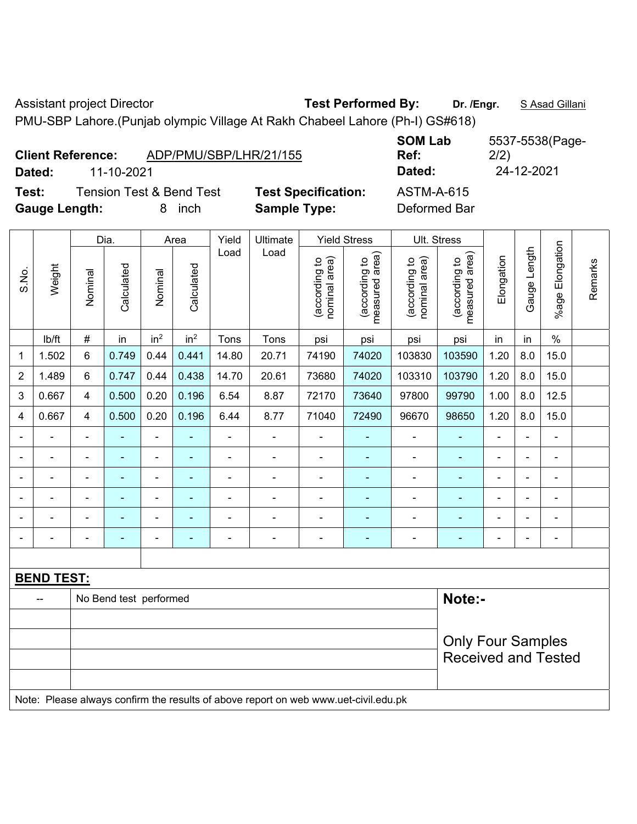Assistant project Director **Test Performed By:** Dr. /Engr. **SAsad Gillani** 

**SOM Lab Ref:** 

PMU-SBP Lahore.(Punjab olympic Village At Rakh Chabeel Lahore (Ph-I) GS#618)

| Dated:       | <b>Client Reference:</b> |                        | 11-10-2021                          |                          |                                                        |                          | ADP/PMU/SBP/LHR/21/155                                                              |                               |                                 | Ref:<br>Dated:                    |                                 | 2/2)           | 24-12-2021     |                          |         |
|--------------|--------------------------|------------------------|-------------------------------------|--------------------------|--------------------------------------------------------|--------------------------|-------------------------------------------------------------------------------------|-------------------------------|---------------------------------|-----------------------------------|---------------------------------|----------------|----------------|--------------------------|---------|
| Test:        | <b>Gauge Length:</b>     |                        | <b>Tension Test &amp; Bend Test</b> |                          | 8 inch                                                 |                          | <b>Test Specification:</b><br><b>Sample Type:</b>                                   |                               |                                 | <b>ASTM-A-615</b><br>Deformed Bar |                                 |                |                |                          |         |
|              |                          |                        | Dia.                                |                          | Area                                                   | Yield                    | Ultimate                                                                            |                               | <b>Yield Stress</b>             | Ult. Stress                       |                                 |                |                |                          |         |
| S.No.        | Weight                   | Nominal                | Calculated                          | Nominal                  | Calculated                                             | Load                     | Load                                                                                | nominal area)<br>decording to | (according to<br>measured area) | (according to<br>nominal area)    | measured area)<br>(according to | Elongation     | Gauge Length   | Elongation<br>$%$ age    | Remarks |
|              | lb/ft                    | $\#$                   | in                                  | in <sup>2</sup>          | in <sup>2</sup>                                        | Tons                     | Tons                                                                                | psi                           | psi                             | psi                               | psi                             | in             | in             | $\%$                     |         |
| 1            | 1.502                    | 6                      | 0.749                               | 0.44                     | 0.441                                                  | 14.80                    | 20.71                                                                               | 74190                         | 74020                           | 103830                            | 103590                          | 1.20           | 8.0            | 15.0                     |         |
| 2            | 1.489                    | 6                      | 0.747                               | 0.44                     | 0.438                                                  | 14.70                    | 20.61                                                                               | 73680                         | 74020                           | 103310                            | 103790                          | 1.20           | 8.0            | 15.0                     |         |
| $\mathbf{3}$ | 0.667                    | $\overline{4}$         | 0.500                               | 0.20                     | 0.196                                                  | 97800                    | 99790                                                                               | 1.00                          | 8.0                             | 12.5                              |                                 |                |                |                          |         |
| 4            | 0.667                    | $\overline{4}$         | 0.500                               | 0.20                     | 0.196                                                  | 96670                    | 98650                                                                               | 1.20                          | 8.0                             | 15.0                              |                                 |                |                |                          |         |
|              |                          | $\blacksquare$         |                                     | $\overline{\phantom{0}}$ |                                                        | $\overline{\phantom{a}}$ | $\blacksquare$                                                                      | $\blacksquare$                |                                 | $\blacksquare$                    |                                 |                | $\blacksquare$ | $\blacksquare$           |         |
|              |                          | $\blacksquare$         | ä,                                  | ÷                        |                                                        |                          | $\overline{\phantom{a}}$                                                            | $\blacksquare$                | $\blacksquare$                  | $\blacksquare$                    |                                 | $\blacksquare$ | $\frac{1}{2}$  | $\blacksquare$           |         |
|              |                          | $\blacksquare$         | ä,                                  | $\overline{\phantom{0}}$ | $\blacksquare$                                         | $\blacksquare$           | ÷,                                                                                  | $\blacksquare$                |                                 | $\overline{\phantom{a}}$          | $\blacksquare$                  | $\blacksquare$ | $\blacksquare$ |                          |         |
|              |                          |                        |                                     |                          |                                                        |                          |                                                                                     |                               |                                 |                                   |                                 |                |                |                          |         |
|              |                          |                        |                                     | $\overline{a}$           |                                                        |                          | $\blacksquare$                                                                      |                               |                                 |                                   |                                 |                |                |                          |         |
|              |                          |                        |                                     | $\overline{a}$           |                                                        |                          | $\overline{\phantom{a}}$                                                            | $\blacksquare$                | ٠                               |                                   |                                 |                | $\blacksquare$ | $\overline{\phantom{a}}$ |         |
|              |                          |                        |                                     |                          |                                                        |                          |                                                                                     |                               |                                 |                                   |                                 |                |                |                          |         |
|              | <b>BEND TEST:</b>        |                        |                                     |                          |                                                        |                          |                                                                                     |                               |                                 |                                   |                                 |                |                |                          |         |
|              |                          | No Bend test performed |                                     | Note:-                   |                                                        |                          |                                                                                     |                               |                                 |                                   |                                 |                |                |                          |         |
|              |                          |                        |                                     |                          |                                                        |                          |                                                                                     |                               |                                 |                                   |                                 |                |                |                          |         |
|              |                          |                        |                                     |                          | <b>Only Four Samples</b><br><b>Received and Tested</b> |                          |                                                                                     |                               |                                 |                                   |                                 |                |                |                          |         |
|              |                          |                        |                                     |                          |                                                        |                          |                                                                                     |                               |                                 |                                   |                                 |                |                |                          |         |
|              |                          |                        |                                     |                          |                                                        |                          | Note: Please always confirm the results of above report on web www.uet civil edu pk |                               |                                 |                                   |                                 |                |                |                          |         |

onfirm the results of above report on web www.uet-civil.edu.pk

5537-5538(Page-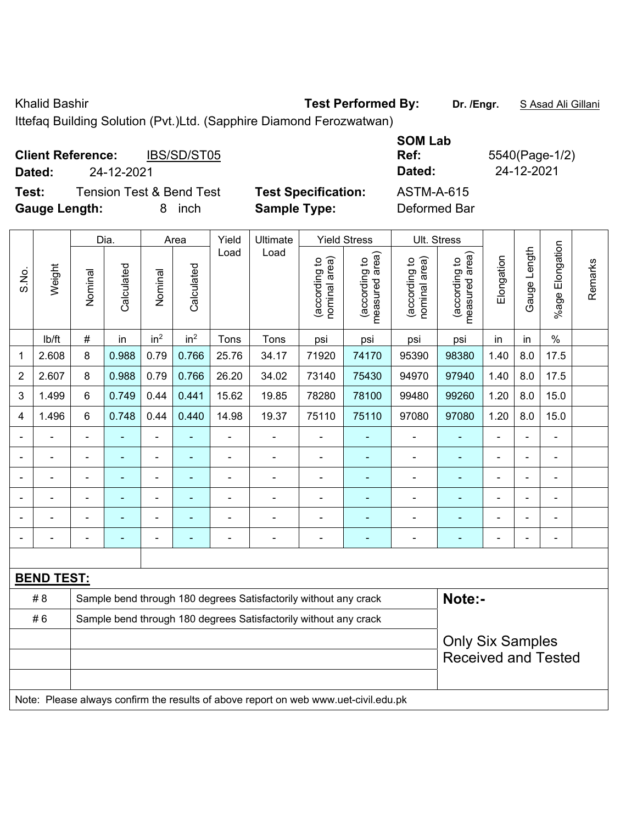Khalid Bashir **Test Performed By:** Dr. /Engr. **SAsad Ali Gillani** Charles By: Dr. /Engr. **SAsad Ali Gillani** 

Ittefaq Building Solution (Pvt.)Ltd. (Sapphire Diamond Ferozwatwan)

| <b>Client Reference:</b><br>Dated: | IBS/SD/ST05<br>24-12-2021           |                            | <b>SOM Lab</b><br>Ref:<br>Dated: | 5540(Page-1/2)<br>24-12-2021 |
|------------------------------------|-------------------------------------|----------------------------|----------------------------------|------------------------------|
| Test:                              | <b>Tension Test &amp; Bend Test</b> | <b>Test Specification:</b> | <b>ASTM-A-615</b>                |                              |
| <b>Gauge Length:</b>               | inch<br>8.                          | <b>Sample Type:</b>        | Deformed Bar                     |                              |

|                |                   |                                                                            | Dia.                                                                                |                 | Area                                                                                                                                              | Yield          | Ultimate |                                | <b>Yield Stress</b>             |                                | Ult. Stress                                           |                |              |                      |         |
|----------------|-------------------|----------------------------------------------------------------------------|-------------------------------------------------------------------------------------|-----------------|---------------------------------------------------------------------------------------------------------------------------------------------------|----------------|----------|--------------------------------|---------------------------------|--------------------------------|-------------------------------------------------------|----------------|--------------|----------------------|---------|
| S.No.          | Weight            | Nominal                                                                    | Calculated                                                                          | Nominal         | Calculated                                                                                                                                        | Load           | Load     | (according to<br>nominal area) | (according to<br>measured area) | nominal area)<br>(according to | (according to<br>measured area)                       | Elongation     | Gauge Length | Elongation<br>%age l | Remarks |
|                | lb/ft             | $\#$                                                                       | in                                                                                  | in <sup>2</sup> | in <sup>2</sup>                                                                                                                                   | Tons           | Tons     | psi                            | psi                             | psi                            | psi                                                   | in             | in           | $\%$                 |         |
| 1              | 2.608             | 8                                                                          | 0.988                                                                               | 0.79            | 0.766                                                                                                                                             | 25.76          | 34.17    | 71920                          | 74170                           | 95390                          | 98380                                                 | 1.40           | 8.0          | 17.5                 |         |
| $\overline{2}$ | 2.607             | 8                                                                          | 0.988                                                                               | 0.79            | 0.766                                                                                                                                             | 26.20          | 34.02    | 73140                          | 75430                           | 94970                          | 97940                                                 | 1.40           | 8.0          | 17.5                 |         |
| 3              | 1.499             | 6                                                                          | 0.749                                                                               | 0.44            | 0.441                                                                                                                                             | 15.62          | 19.85    | 78280                          | 78100                           | 99480                          | 99260                                                 | 1.20           | 8.0          | 15.0                 |         |
| 4              | 1.496             | 6                                                                          | 0.748                                                                               | 0.44            | 0.440                                                                                                                                             | 14.98          | 19.37    | 75110                          | 75110                           | 97080                          | 97080                                                 | 1.20           | 8.0          | 15.0                 |         |
|                | $\blacksquare$    | ä,                                                                         | $\blacksquare$                                                                      | $\overline{a}$  |                                                                                                                                                   | $\blacksquare$ | ÷        |                                |                                 | ä,                             | $\blacksquare$                                        | $\blacksquare$ |              | $\blacksquare$       |         |
|                | $\blacksquare$    | $\blacksquare$                                                             | $\blacksquare$                                                                      | $\blacksquare$  | $\blacksquare$<br>÷<br>$\blacksquare$<br>$\blacksquare$<br>$\blacksquare$<br>$\blacksquare$<br>$\blacksquare$<br>$\blacksquare$<br>$\overline{a}$ |                |          |                                |                                 |                                |                                                       |                |              |                      |         |
|                | $\blacksquare$    |                                                                            |                                                                                     |                 |                                                                                                                                                   |                | L.       | $\blacksquare$                 |                                 | $\blacksquare$                 | $\blacksquare$                                        |                |              | $\blacksquare$       |         |
|                |                   |                                                                            |                                                                                     |                 |                                                                                                                                                   |                |          |                                |                                 |                                |                                                       |                |              | $\blacksquare$       |         |
|                |                   |                                                                            |                                                                                     |                 |                                                                                                                                                   |                |          |                                |                                 |                                |                                                       |                |              | $\blacksquare$       |         |
|                |                   |                                                                            |                                                                                     | $\blacksquare$  |                                                                                                                                                   | Ē,             | ÷        | $\blacksquare$                 | ٠                               | ä,                             | $\blacksquare$                                        | $\blacksquare$ |              | $\blacksquare$       |         |
|                |                   |                                                                            |                                                                                     |                 |                                                                                                                                                   |                |          |                                |                                 |                                |                                                       |                |              |                      |         |
|                | <b>BEND TEST:</b> |                                                                            |                                                                                     |                 |                                                                                                                                                   |                |          |                                |                                 |                                |                                                       |                |              |                      |         |
|                | # 8               | Note:-<br>Sample bend through 180 degrees Satisfactorily without any crack |                                                                                     |                 |                                                                                                                                                   |                |          |                                |                                 |                                |                                                       |                |              |                      |         |
|                | #6                | Sample bend through 180 degrees Satisfactorily without any crack           |                                                                                     |                 |                                                                                                                                                   |                |          |                                |                                 |                                |                                                       |                |              |                      |         |
|                |                   |                                                                            |                                                                                     |                 |                                                                                                                                                   |                |          |                                |                                 |                                | <b>Only Six Samples</b><br><b>Received and Tested</b> |                |              |                      |         |
|                |                   |                                                                            | Note: Please always confirm the results of above report on web www.uet-civil.edu.pk |                 |                                                                                                                                                   |                |          |                                |                                 |                                |                                                       |                |              |                      |         |